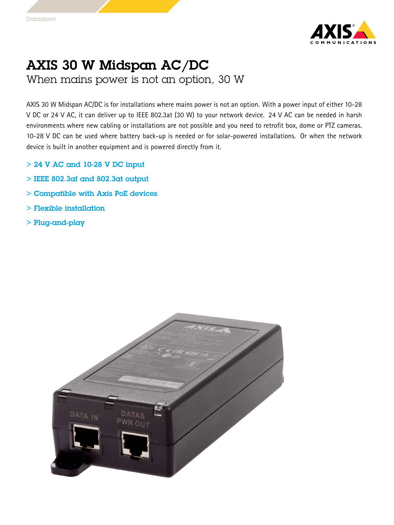

## AXIS 30 W Midspan AC/DC

When mains power is not an option, 30 W

AXIS <sup>30</sup> W Midspan AC/DC is for installations where mains power is not an option. With <sup>a</sup> power input of either 10-28 V DC or <sup>24</sup> V AC, it can deliver up to IEEE 802.3at (30 W) to your network device. <sup>24</sup> V AC can be needed in harsh environments where new cabling or installations are not possible and you need to retrofit box, dome or PTZ cameras. 10-28 V DC can be used where battery back-up is needed or for solar-powered installations. Or when the network device is built in another equipment and is powered directly from it.

- > 24 V AC and 10-28 V DC input
- $>$  IEEE 802.3 $\alpha$ f and 802.3 $\alpha$ t output
- > Compatible with Axis PoE devices
- > Flexible installation
- > Plug-and-play